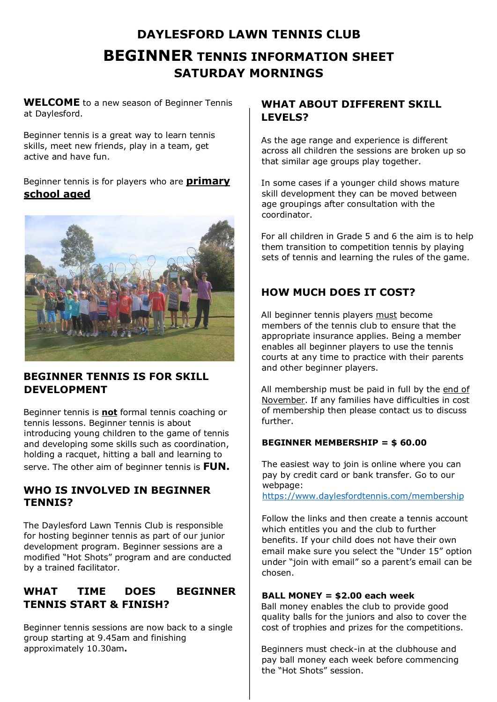# **DAYLESFORD LAWN TENNIS CLUB BEGINNER TENNIS INFORMATION SHEET SATURDAY MORNINGS**

**WELCOME** to a new season of Beginner Tennis at Daylesford.

Beginner tennis is a great way to learn tennis skills, meet new friends, play in a team, get active and have fun.

## Beginner tennis is for players who are **primary school aged**



## **BEGINNER TENNIS IS FOR SKILL DEVELOPMENT**

Beginner tennis is **not** formal tennis coaching or tennis lessons. Beginner tennis is about introducing young children to the game of tennis and developing some skills such as coordination, holding a racquet, hitting a ball and learning to serve. The other aim of beginner tennis is **FUN.**

## **WHO IS INVOLVED IN BEGINNER TENNIS?**

The Daylesford Lawn Tennis Club is responsible for hosting beginner tennis as part of our junior development program. Beginner sessions are a modified "Hot Shots" program and are conducted by a trained facilitator.

# **WHAT TIME DOES BEGINNER TENNIS START & FINISH?**

Beginner tennis sessions are now back to a single group starting at 9.45am and finishing approximately 10.30am**.**

# **WHAT ABOUT DIFFERENT SKILL LEVELS?**

As the age range and experience is different across all children the sessions are broken up so that similar age groups play together.

In some cases if a younger child shows mature skill development they can be moved between age groupings after consultation with the coordinator.

For all children in Grade 5 and 6 the aim is to help them transition to competition tennis by playing sets of tennis and learning the rules of the game.

# **HOW MUCH DOES IT COST?**

All beginner tennis players must become members of the tennis club to ensure that the appropriate insurance applies. Being a member enables all beginner players to use the tennis courts at any time to practice with their parents and other beginner players.

All membership must be paid in full by the end of November. If any families have difficulties in cost of membership then please contact us to discuss further.

## **BEGINNER MEMBERSHIP = \$ 60.00**

The easiest way to join is online where you can pay by credit card or bank transfer. Go to our webpage: https://www.daylesfordtennis.com/membership

Follow the links and then create a tennis account which entitles you and the club to further benefits. If your child does not have their own email make sure you select the "Under 15" option under "join with email" so a parent's email can be chosen.

#### **BALL MONEY = \$2.00 each week**

Ball money enables the club to provide good quality balls for the juniors and also to cover the cost of trophies and prizes for the competitions.

Beginners must check-in at the clubhouse and pay ball money each week before commencing the "Hot Shots" session.